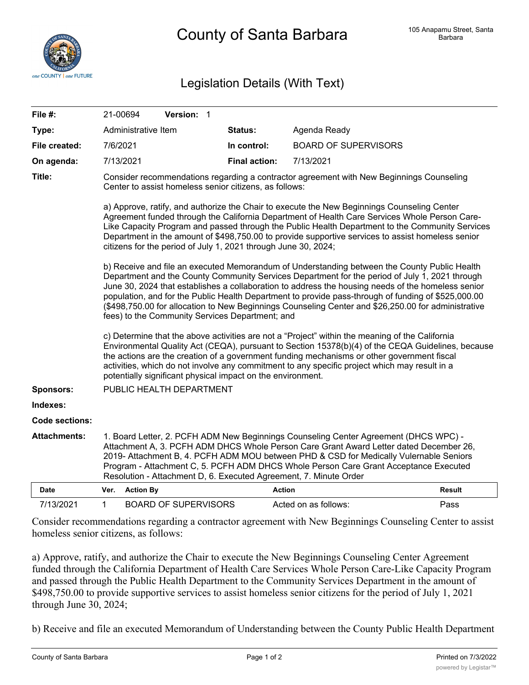

## Legislation Details (With Text)

| File #:               | 21-00694                                                                                                                                                                                                                                                                                                                                                                                                                                                                                                                                                              |                     | Version: 1                  |  |                      |                             |               |
|-----------------------|-----------------------------------------------------------------------------------------------------------------------------------------------------------------------------------------------------------------------------------------------------------------------------------------------------------------------------------------------------------------------------------------------------------------------------------------------------------------------------------------------------------------------------------------------------------------------|---------------------|-----------------------------|--|----------------------|-----------------------------|---------------|
| Type:                 |                                                                                                                                                                                                                                                                                                                                                                                                                                                                                                                                                                       | Administrative Item |                             |  | <b>Status:</b>       | Agenda Ready                |               |
| File created:         | 7/6/2021                                                                                                                                                                                                                                                                                                                                                                                                                                                                                                                                                              |                     |                             |  | In control:          | <b>BOARD OF SUPERVISORS</b> |               |
| On agenda:            | 7/13/2021                                                                                                                                                                                                                                                                                                                                                                                                                                                                                                                                                             |                     |                             |  | <b>Final action:</b> | 7/13/2021                   |               |
| Title:                | Consider recommendations regarding a contractor agreement with New Beginnings Counseling<br>Center to assist homeless senior citizens, as follows:                                                                                                                                                                                                                                                                                                                                                                                                                    |                     |                             |  |                      |                             |               |
|                       | a) Approve, ratify, and authorize the Chair to execute the New Beginnings Counseling Center<br>Agreement funded through the California Department of Health Care Services Whole Person Care-<br>Like Capacity Program and passed through the Public Health Department to the Community Services<br>Department in the amount of \$498,750.00 to provide supportive services to assist homeless senior<br>citizens for the period of July 1, 2021 through June 30, 2024;                                                                                                |                     |                             |  |                      |                             |               |
|                       | b) Receive and file an executed Memorandum of Understanding between the County Public Health<br>Department and the County Community Services Department for the period of July 1, 2021 through<br>June 30, 2024 that establishes a collaboration to address the housing needs of the homeless senior<br>population, and for the Public Health Department to provide pass-through of funding of \$525,000.00<br>(\$498,750.00 for allocation to New Beginnings Counseling Center and \$26,250.00 for administrative<br>fees) to the Community Services Department; and |                     |                             |  |                      |                             |               |
|                       | c) Determine that the above activities are not a "Project" within the meaning of the California<br>Environmental Quality Act (CEQA), pursuant to Section 15378(b)(4) of the CEQA Guidelines, because<br>the actions are the creation of a government funding mechanisms or other government fiscal<br>activities, which do not involve any commitment to any specific project which may result in a<br>potentially significant physical impact on the environment.                                                                                                    |                     |                             |  |                      |                             |               |
| Sponsors:             | PUBLIC HEALTH DEPARTMENT                                                                                                                                                                                                                                                                                                                                                                                                                                                                                                                                              |                     |                             |  |                      |                             |               |
| Indexes:              |                                                                                                                                                                                                                                                                                                                                                                                                                                                                                                                                                                       |                     |                             |  |                      |                             |               |
| <b>Code sections:</b> |                                                                                                                                                                                                                                                                                                                                                                                                                                                                                                                                                                       |                     |                             |  |                      |                             |               |
| <b>Attachments:</b>   | 1. Board Letter, 2. PCFH ADM New Beginnings Counseling Center Agreement (DHCS WPC) -<br>Attachment A, 3. PCFH ADM DHCS Whole Person Care Grant Award Letter dated December 26,<br>2019- Attachment B, 4. PCFH ADM MOU between PHD & CSD for Medically Vulernable Seniors<br>Program - Attachment C, 5. PCFH ADM DHCS Whole Person Care Grant Acceptance Executed<br>Resolution - Attachment D, 6. Executed Agreement, 7. Minute Order                                                                                                                                 |                     |                             |  |                      |                             |               |
| Date                  | Ver.                                                                                                                                                                                                                                                                                                                                                                                                                                                                                                                                                                  | <b>Action By</b>    |                             |  |                      | <b>Action</b>               | <b>Result</b> |
| 7/13/2021             | $\mathbf 1$                                                                                                                                                                                                                                                                                                                                                                                                                                                                                                                                                           |                     | <b>BOARD OF SUPERVISORS</b> |  |                      | Acted on as follows:        | Pass          |

Consider recommendations regarding a contractor agreement with New Beginnings Counseling Center to assist homeless senior citizens, as follows:

a) Approve, ratify, and authorize the Chair to execute the New Beginnings Counseling Center Agreement funded through the California Department of Health Care Services Whole Person Care-Like Capacity Program and passed through the Public Health Department to the Community Services Department in the amount of \$498,750.00 to provide supportive services to assist homeless senior citizens for the period of July 1, 2021 through June 30, 2024;

b) Receive and file an executed Memorandum of Understanding between the County Public Health Department